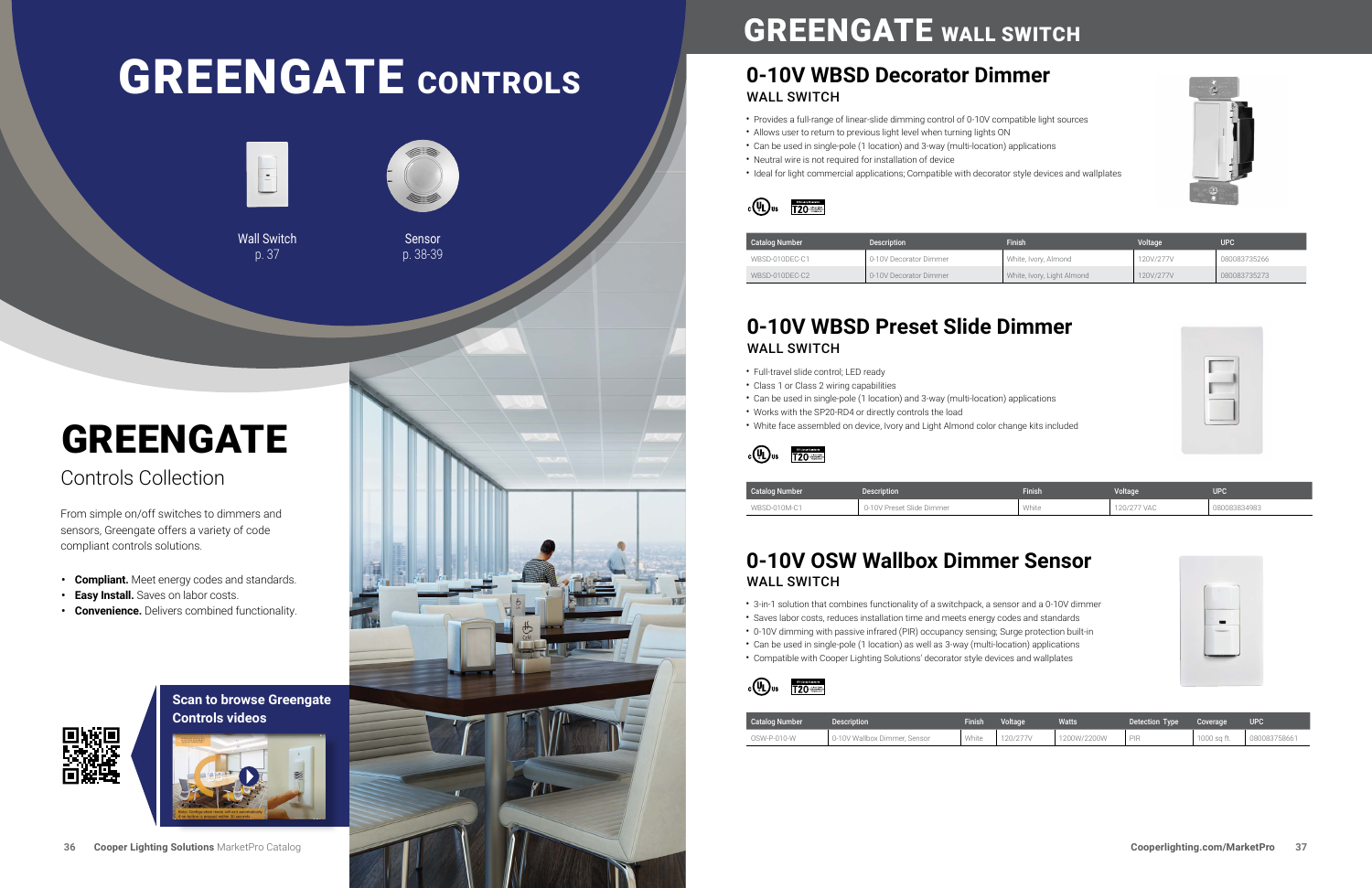## **Scan to browse Greengate Controls videos**



## **[0-10V WBSD Decorator Dimmer](https://www.cooperlighting.com/global/brands/greengate/896628/wbsd-010dec-decorator-0-10v-wallswitch-slide-dimmer)** WALL SWITCH

## **[0-10V WBSD Preset Slide Dimmer](https://www.cooperlighting.com/global/brands/greengate/1006438/wbsd-010m-momentary-wallswitch-0-10v-slide-dimmer/wbsd-010m-c1)** WALL SWITCH

| <b>Catalog Number</b> | <b>Description</b>     | Finish                     | Voltage   | UPC <sup>1</sup> |
|-----------------------|------------------------|----------------------------|-----------|------------------|
| WBSD-010DEC-C1        | 0-10V Decorator Dimmer | White, Ivory, Almond       | 120V/277V | 080083735266     |
| WBSD-010DEC-C2        | 0-10V Decorator Dimmer | White, Ivory, Light Almond | 120V/277V | 080083735273     |

## **[0-10V OSW Wallbox Dimmer Sensor](https://www.cooperlighting.com/global/brands/greengate/904088/osw-p-010-pir-0-10v-sensor-dimmer/osw-p-010-w)** WALL SWITCH

| Catalog Number | <b>Description</b>           | Finish | Voltage <sup>®</sup> | <b>Watts</b> | Detection Type | Coverage    | upc          |
|----------------|------------------------------|--------|----------------------|--------------|----------------|-------------|--------------|
| OSW-P-010-W    | 0-10V Wallbox Dimmer. Sensor | White  | 120/277V             | 1200W/2200W  | <b>PIR</b>     | 1000 sa ft. | 080083758661 |









| <b>Catalog Number</b> | <b>Description</b>        | <b>Finish</b> | Voltage     | <b>UPC</b>   |
|-----------------------|---------------------------|---------------|-------------|--------------|
| WBSD-010M-C1          | 0-10V Preset Slide Dimmer | White         | 120/277 VAC | 080083834983 |

- Full-travel slide control; LED ready
- Class 1 or Class 2 wiring capabilities
- Can be used in single-pole (1 location) and 3-way (multi-location) applications
- Works with the SP20-RD4 or directly controls the load
- White face assembled on device, Ivory and Light Almond color change kits included



- Provides a full-range of linear-slide dimming control of 0-10V compatible light sources
- Allows user to return to previous light level when turning lights ON
- Can be used in single-pole (1 location) and 3-way (multi-location) applications
- Neutral wire is not required for installation of device
- Ideal for light commercial applications; Compatible with decorator style devices and wallplates



- 3-in-1 solution that combines functionality of a switchpack, a sensor and a 0-10V dimmer
- Saves labor costs, reduces installation time and meets energy codes and standards
- 0-10V dimming with passive infrared (PIR) occupancy sensing; Surge protection built-in
- Can be used in single-pole (1 location) as well as 3-way (multi-location) applications
- Compatible with Cooper Lighting Solutions' decorator style devices and wallplates





# GREENGATE CONTROLS



Wall Switch p. 37



p. 38-39

# GREENGATE

# Controls Collection

From simple on/off switches to dimmers and sensors, Greengate offers a variety of code compliant controls solutions.

- **• Compliant.** Meet energy codes and standards.
- **• Easy Install.** Saves on labor costs.
- **• Convenience.** Delivers combined functionality.